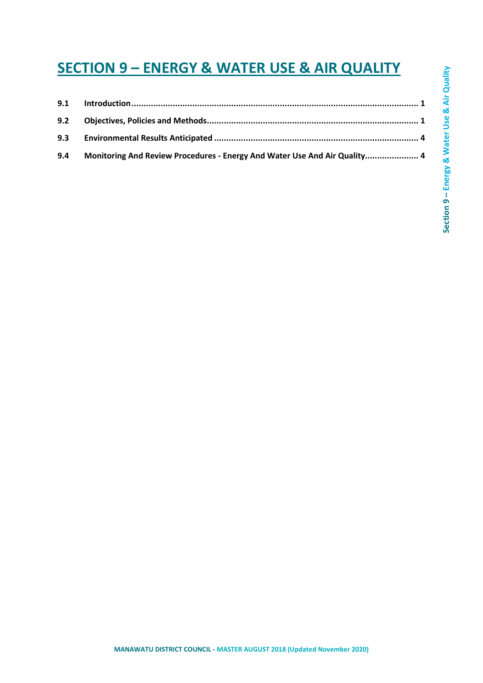# **SECTION 9 – ENERGY & WATER USE & AIR QUALITY**

| 9.3 |                                                                           |  |
|-----|---------------------------------------------------------------------------|--|
| 9.4 | Monitoring And Review Procedures - Energy And Water Use And Air Quality 4 |  |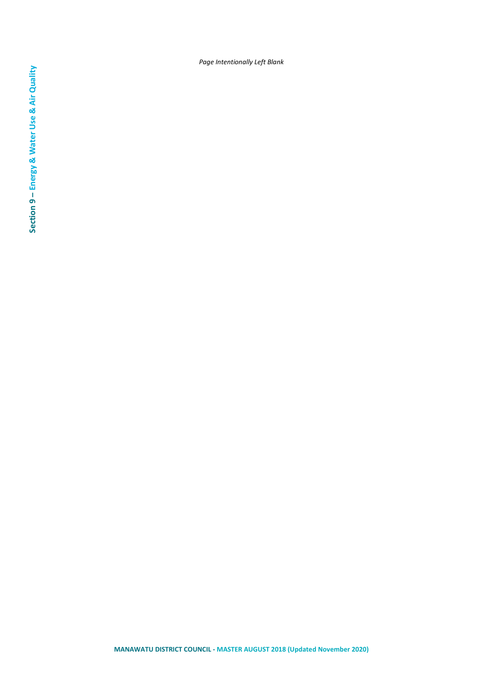*Page Intentionally Left Blank*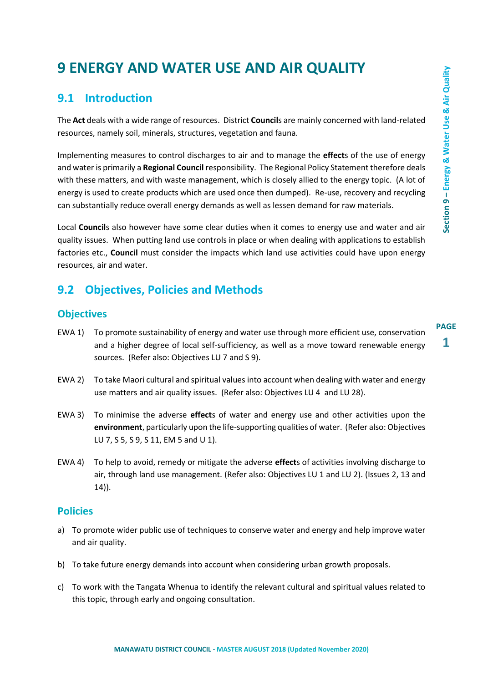# **9 ENERGY AND WATER USE AND AIR QUALITY**

### <span id="page-2-0"></span>**9.1 Introduction**

The **Act** deals with a wide range of resources. District **Council**s are mainly concerned with land-related resources, namely soil, minerals, structures, vegetation and fauna.

Implementing measures to control discharges to air and to manage the **effect**s of the use of energy and water is primarily a **Regional Council** responsibility. The Regional Policy Statement therefore deals with these matters, and with waste management, which is closely allied to the energy topic. (A lot of energy is used to create products which are used once then dumped). Re-use, recovery and recycling can substantially reduce overall energy demands as well as lessen demand for raw materials.

Local **Council**s also however have some clear duties when it comes to energy use and water and air quality issues. When putting land use controls in place or when dealing with applications to establish factories etc., **Council** must consider the impacts which land use activities could have upon energy resources, air and water.

## <span id="page-2-1"></span>**9.2 Objectives, Policies and Methods**

#### **Objectives**

- EWA 1) To promote sustainability of energy and water use through more efficient use, conservation and a higher degree of local self-sufficiency, as well as a move toward renewable energy sources. (Refer also: Objectives LU 7 and S 9).
- EWA 2) To take Maori cultural and spiritual values into account when dealing with water and energy use matters and air quality issues. (Refer also: Objectives LU 4 and LU 28).
- EWA 3) To minimise the adverse **effect**s of water and energy use and other activities upon the **environment**, particularly upon the life-supporting qualities of water. (Refer also: Objectives LU 7, S 5, S 9, S 11, EM 5 and U 1).
- EWA 4) To help to avoid, remedy or mitigate the adverse **effect**s of activities involving discharge to air, through land use management. (Refer also: Objectives LU 1 and LU 2). (Issues 2, 13 and 14)).

#### **Policies**

- a) To promote wider public use of techniques to conserve water and energy and help improve water and air quality.
- b) To take future energy demands into account when considering urban growth proposals.
- c) To work with the Tangata Whenua to identify the relevant cultural and spiritual values related to this topic, through early and ongoing consultation.

**PAGE 1**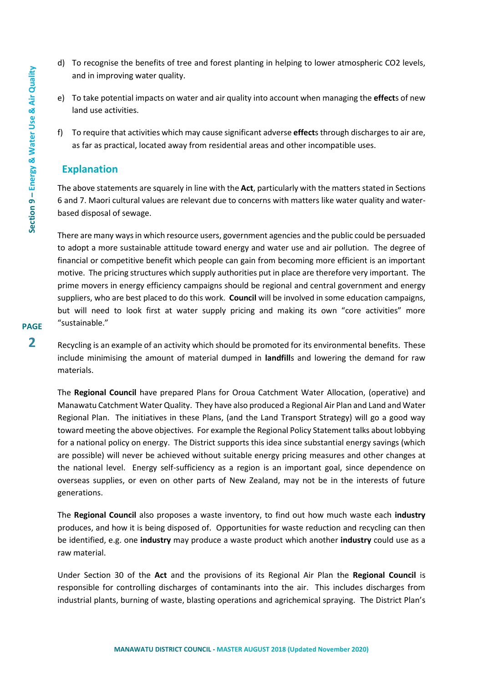- **Section 9 Energy & Water Use & Air Quality – Energy & Water Use & Air Quality**
- d) To recognise the benefits of tree and forest planting in helping to lower atmospheric CO2 levels, and in improving water quality.
- e) To take potential impacts on water and air quality into account when managing the **effect**s of new land use activities.
- f) To require that activities which may cause significant adverse **effect**s through discharges to air are, as far as practical, located away from residential areas and other incompatible uses.

#### **Explanation**

The above statements are squarely in line with the **Act**, particularly with the matters stated in Sections 6 and 7. Maori cultural values are relevant due to concerns with matters like water quality and waterbased disposal of sewage.

There are many ways in which resource users, government agencies and the public could be persuaded to adopt a more sustainable attitude toward energy and water use and air pollution. The degree of financial or competitive benefit which people can gain from becoming more efficient is an important motive. The pricing structures which supply authorities put in place are therefore very important. The prime movers in energy efficiency campaigns should be regional and central government and energy suppliers, who are best placed to do this work. **Council** will be involved in some education campaigns, but will need to look first at water supply pricing and making its own "core activities" more "sustainable."

Recycling is an example of an activity which should be promoted for its environmental benefits. These include minimising the amount of material dumped in **landfill**s and lowering the demand for raw materials.

The **Regional Council** have prepared Plans for Oroua Catchment Water Allocation, (operative) and Manawatu Catchment Water Quality. They have also produced a Regional Air Plan and Land and Water Regional Plan. The initiatives in these Plans, (and the Land Transport Strategy) will go a good way toward meeting the above objectives. For example the Regional Policy Statement talks about lobbying for a national policy on energy. The District supports this idea since substantial energy savings (which are possible) will never be achieved without suitable energy pricing measures and other changes at the national level. Energy self-sufficiency as a region is an important goal, since dependence on overseas supplies, or even on other parts of New Zealand, may not be in the interests of future generations.

The **Regional Council** also proposes a waste inventory, to find out how much waste each **industry** produces, and how it is being disposed of. Opportunities for waste reduction and recycling can then be identified, e.g. one **industry** may produce a waste product which another **industry** could use as a raw material.

Under Section 30 of the **Act** and the provisions of its Regional Air Plan the **Regional Council** is responsible for controlling discharges of contaminants into the air. This includes discharges from industrial plants, burning of waste, blasting operations and agrichemical spraying. The District Plan's

**PAGE 2**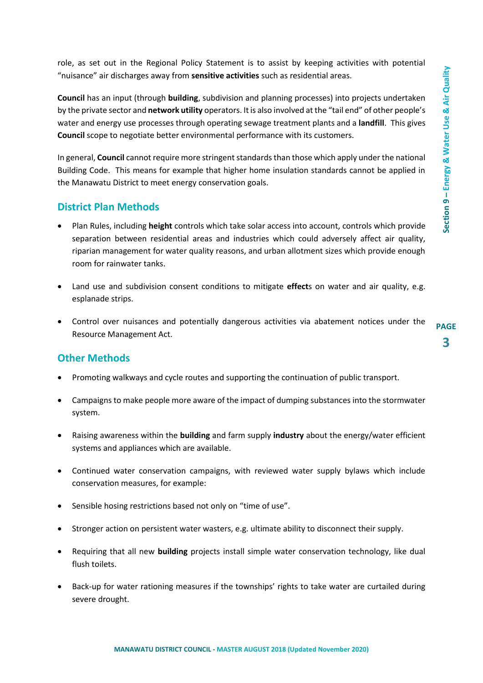role, as set out in the Regional Policy Statement is to assist by keeping activities with potential "nuisance" air discharges away from **sensitive activities** such as residential areas.

**Council** has an input (through **building**, subdivision and planning processes) into projects undertaken by the private sector and **network utility** operators. It is also involved at the "tail end" of other people's water and energy use processes through operating sewage treatment plants and a **landfill**. This gives **Council** scope to negotiate better environmental performance with its customers.

In general, **Council** cannot require more stringent standards than those which apply under the national Building Code. This means for example that higher home insulation standards cannot be applied in the Manawatu District to meet energy conservation goals.

#### **District Plan Methods**

- Plan Rules, including **height** controls which take solar access into account, controls which provide separation between residential areas and industries which could adversely affect air quality, riparian management for water quality reasons, and urban allotment sizes which provide enough room for rainwater tanks.
- Land use and subdivision consent conditions to mitigate **effect**s on water and air quality, e.g. esplanade strips.
- Control over nuisances and potentially dangerous activities via abatement notices under the Resource Management Act.

#### **Other Methods**

- Promoting walkways and cycle routes and supporting the continuation of public transport.
- Campaigns to make people more aware of the impact of dumping substances into the stormwater system.
- Raising awareness within the **building** and farm supply **industry** about the energy/water efficient systems and appliances which are available.
- Continued water conservation campaigns, with reviewed water supply bylaws which include conservation measures, for example:
- Sensible hosing restrictions based not only on "time of use".
- Stronger action on persistent water wasters, e.g. ultimate ability to disconnect their supply.
- Requiring that all new **building** projects install simple water conservation technology, like dual flush toilets.
- Back-up for water rationing measures if the townships' rights to take water are curtailed during severe drought.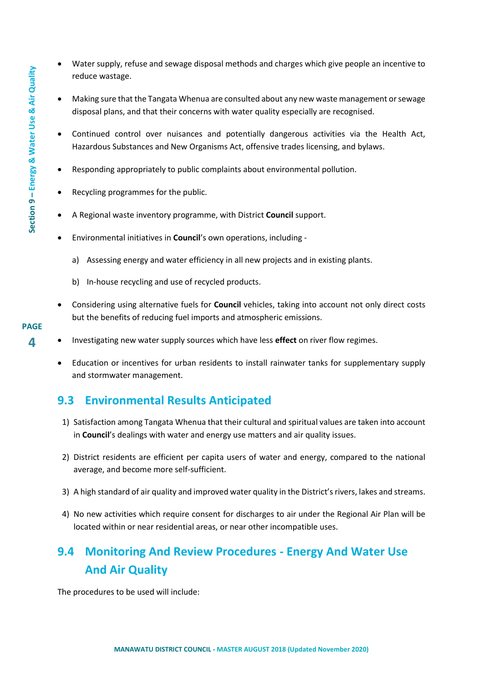- Water supply, refuse and sewage disposal methods and charges which give people an incentive to reduce wastage.
- Making sure that the Tangata Whenua are consulted about any new waste management or sewage disposal plans, and that their concerns with water quality especially are recognised.
- Continued control over nuisances and potentially dangerous activities via the Health Act, Hazardous Substances and New Organisms Act, offensive trades licensing, and bylaws.
- Responding appropriately to public complaints about environmental pollution.
- Recycling programmes for the public.
- A Regional waste inventory programme, with District **Council** support.
- Environmental initiatives in **Council**'s own operations, including
	- a) Assessing energy and water efficiency in all new projects and in existing plants.
	- b) In-house recycling and use of recycled products.
- Considering using alternative fuels for **Council** vehicles, taking into account not only direct costs but the benefits of reducing fuel imports and atmospheric emissions.

#### **PAGE 4**

- Investigating new water supply sources which have less **effect** on river flow regimes.
	- Education or incentives for urban residents to install rainwater tanks for supplementary supply and stormwater management.

### <span id="page-5-0"></span>**9.3 Environmental Results Anticipated**

- 1) Satisfaction among Tangata Whenua that their cultural and spiritual values are taken into account in **Council**'s dealings with water and energy use matters and air quality issues.
- 2) District residents are efficient per capita users of water and energy, compared to the national average, and become more self-sufficient.
- 3) A high standard of air quality and improved water quality in the District's rivers, lakes and streams.
- 4) No new activities which require consent for discharges to air under the Regional Air Plan will be located within or near residential areas, or near other incompatible uses.

# <span id="page-5-1"></span>**9.4 Monitoring And Review Procedures - Energy And Water Use And Air Quality**

The procedures to be used will include: